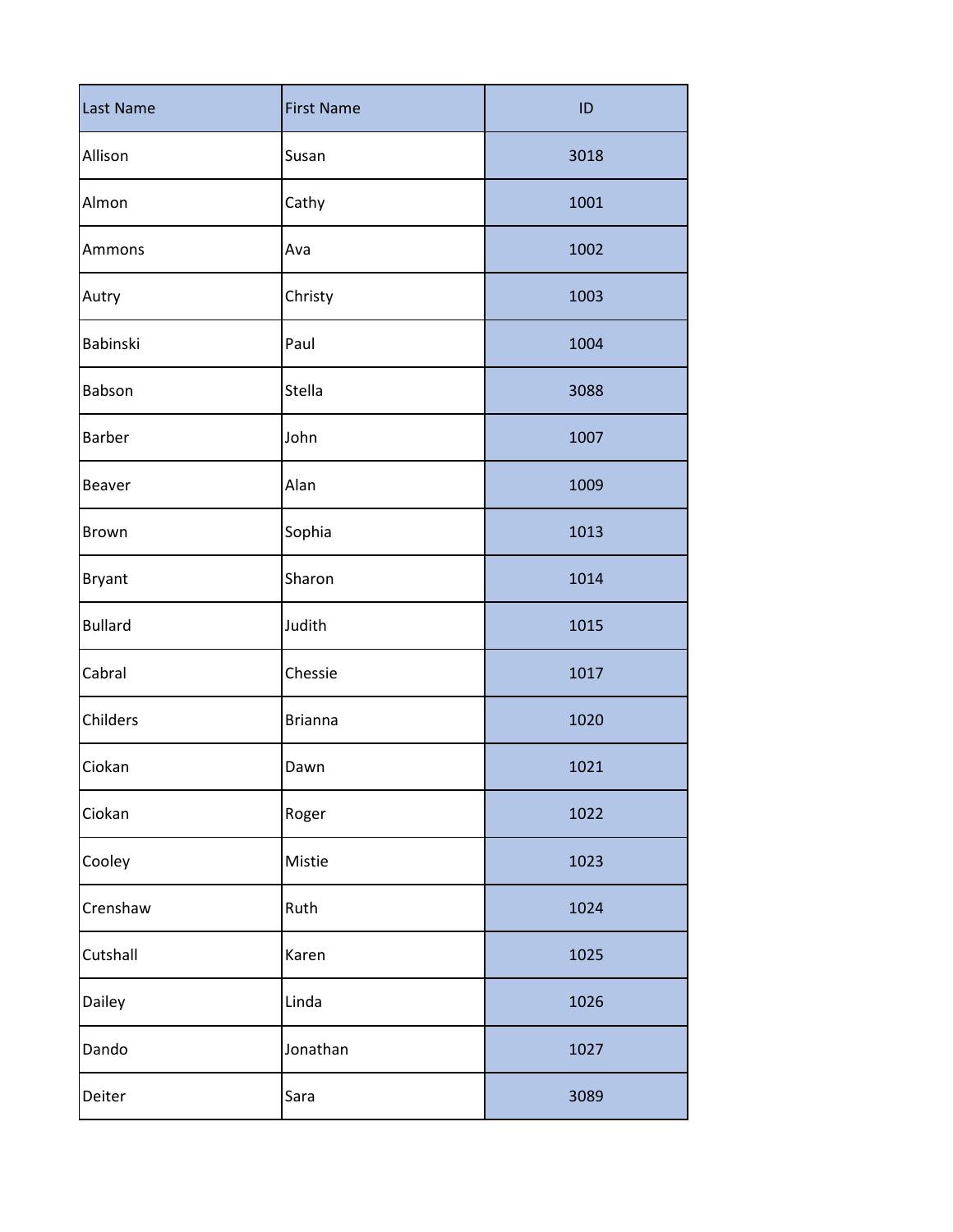| Last Name      | <b>First Name</b> | ID   |
|----------------|-------------------|------|
| Allison        | Susan             | 3018 |
| Almon          | Cathy             | 1001 |
| Ammons         | Ava               | 1002 |
| Autry          | Christy           | 1003 |
| Babinski       | Paul              | 1004 |
| Babson         | Stella            | 3088 |
| <b>Barber</b>  | John              | 1007 |
| <b>Beaver</b>  | Alan              | 1009 |
| <b>Brown</b>   | Sophia            | 1013 |
| <b>Bryant</b>  | Sharon            | 1014 |
| <b>Bullard</b> | Judith            | 1015 |
| Cabral         | Chessie           | 1017 |
| Childers       | <b>Brianna</b>    | 1020 |
| Ciokan         | Dawn              | 1021 |
| Ciokan         | Roger             | 1022 |
| Cooley         | Mistie            | 1023 |
| Crenshaw       | Ruth              | 1024 |
| Cutshall       | Karen             | 1025 |
| Dailey         | Linda             | 1026 |
| Dando          | Jonathan          | 1027 |
| Deiter         | Sara              | 3089 |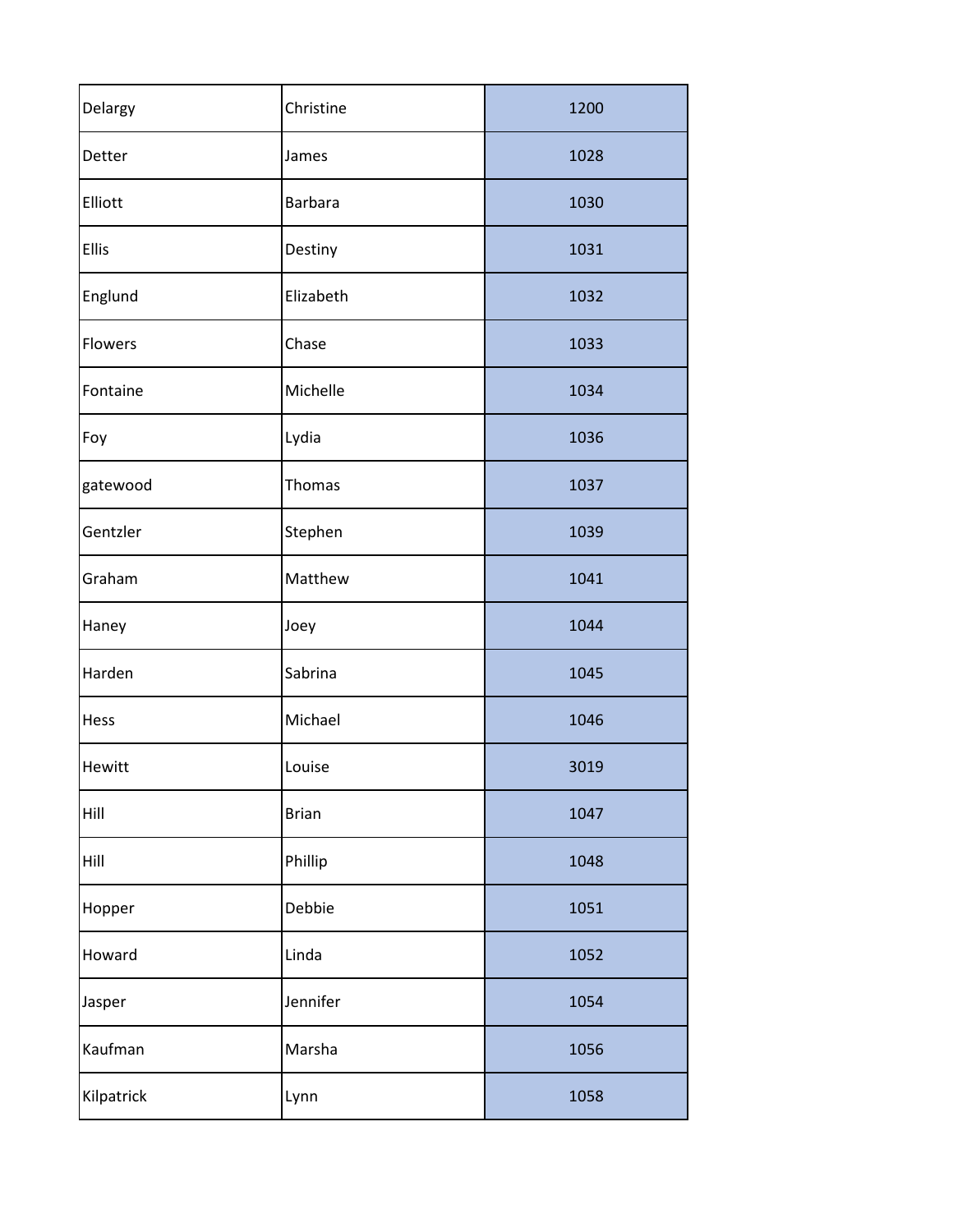| Delargy    | Christine      | 1200 |
|------------|----------------|------|
| Detter     | James          | 1028 |
| Elliott    | <b>Barbara</b> | 1030 |
| Ellis      | Destiny        | 1031 |
| Englund    | Elizabeth      | 1032 |
| Flowers    | Chase          | 1033 |
| Fontaine   | Michelle       | 1034 |
| Foy        | Lydia          | 1036 |
| gatewood   | <b>Thomas</b>  | 1037 |
| Gentzler   | Stephen        | 1039 |
| Graham     | Matthew        | 1041 |
| Haney      | Joey           | 1044 |
| Harden     | Sabrina        | 1045 |
| Hess       | Michael        | 1046 |
| Hewitt     | Louise         | 3019 |
| Hill       | <b>Brian</b>   | 1047 |
| Hill       | Phillip        | 1048 |
| Hopper     | Debbie         | 1051 |
| Howard     | Linda          | 1052 |
| Jasper     | Jennifer       | 1054 |
| Kaufman    | Marsha         | 1056 |
| Kilpatrick | Lynn           | 1058 |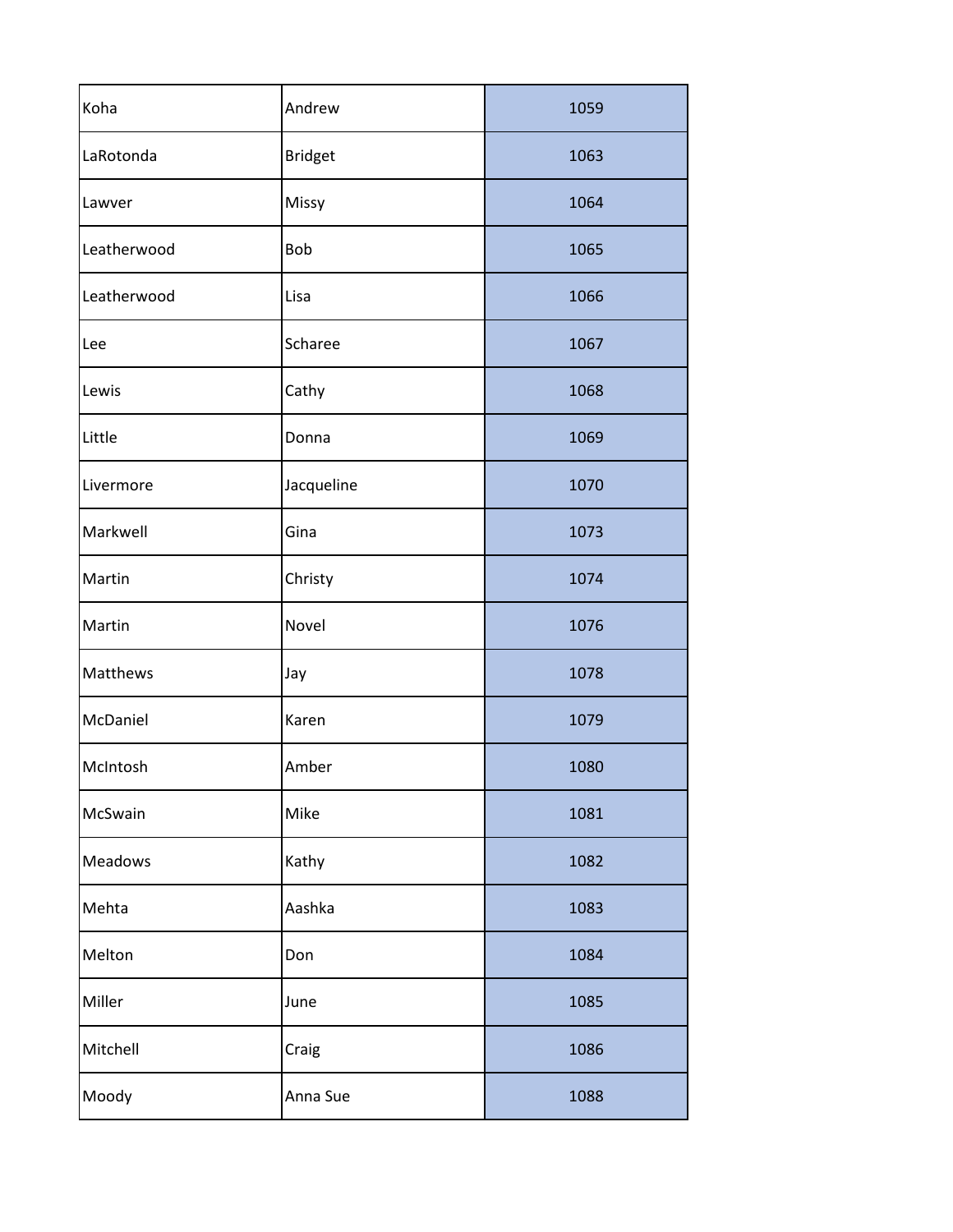| Koha        | Andrew         | 1059 |
|-------------|----------------|------|
| LaRotonda   | <b>Bridget</b> | 1063 |
| Lawver      | Missy          | 1064 |
| Leatherwood | Bob            | 1065 |
| Leatherwood | Lisa           | 1066 |
| Lee         | Scharee        | 1067 |
| Lewis       | Cathy          | 1068 |
| Little      | Donna          | 1069 |
| Livermore   | Jacqueline     | 1070 |
| Markwell    | Gina           | 1073 |
| Martin      | Christy        | 1074 |
| Martin      | Novel          | 1076 |
| Matthews    | Jay            | 1078 |
| McDaniel    | Karen          | 1079 |
| McIntosh    | Amber          | 1080 |
| McSwain     | Mike           | 1081 |
| Meadows     | Kathy          | 1082 |
| Mehta       | Aashka         | 1083 |
| Melton      | Don            | 1084 |
| Miller      | June           | 1085 |
| Mitchell    | Craig          | 1086 |
| Moody       | Anna Sue       | 1088 |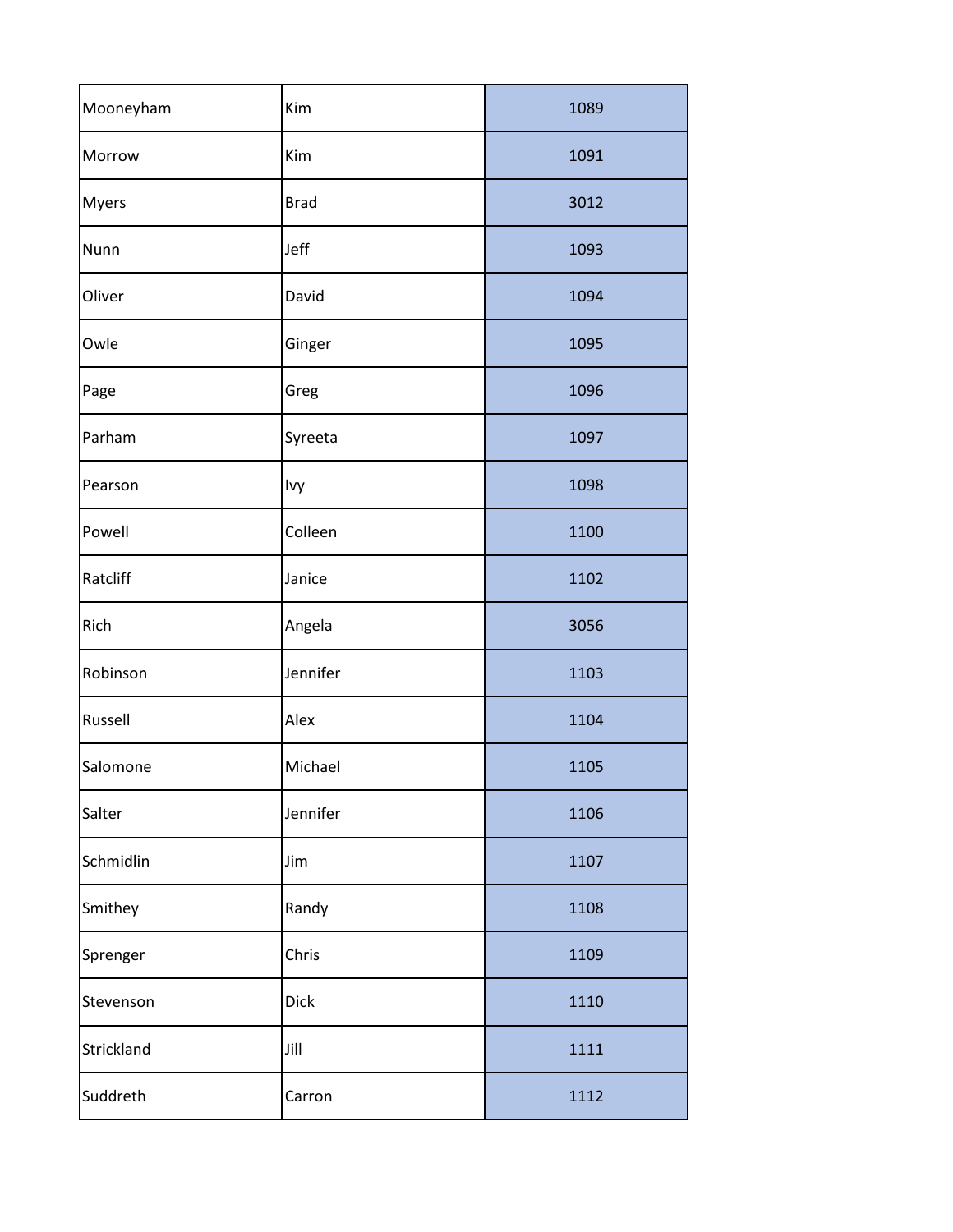| Mooneyham  | Kim         | 1089 |
|------------|-------------|------|
| Morrow     | Kim         | 1091 |
| Myers      | <b>Brad</b> | 3012 |
| Nunn       | Jeff        | 1093 |
| Oliver     | David       | 1094 |
| Owle       | Ginger      | 1095 |
| Page       | Greg        | 1096 |
| Parham     | Syreeta     | 1097 |
| Pearson    | Ivy         | 1098 |
| Powell     | Colleen     | 1100 |
| Ratcliff   | Janice      | 1102 |
| Rich       | Angela      | 3056 |
| Robinson   | Jennifer    | 1103 |
| Russell    | Alex        | 1104 |
| Salomone   | Michael     | 1105 |
| Salter     | Jennifer    | 1106 |
| Schmidlin  | Jim         | 1107 |
| Smithey    | Randy       | 1108 |
| Sprenger   | Chris       | 1109 |
| Stevenson  | Dick        | 1110 |
| Strickland | Jill        | 1111 |
| Suddreth   | Carron      | 1112 |